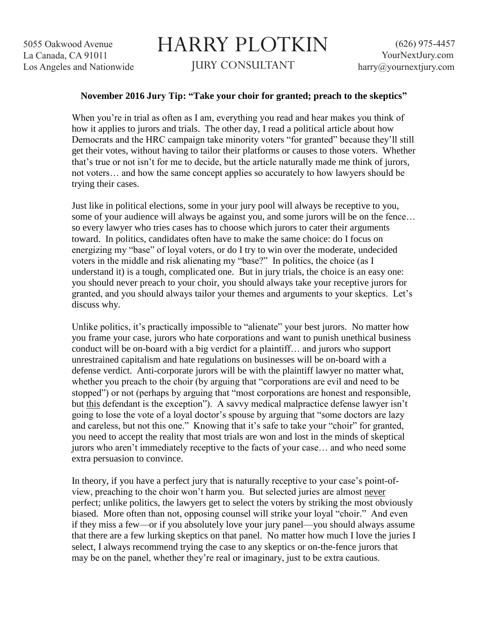## HARRY PLOTKIN JURY CONSULTANT

## **November 2016 Jury Tip: "Take your choir for granted; preach to the skeptics"**

When you're in trial as often as I am, everything you read and hear makes you think of how it applies to jurors and trials. The other day, I read a political article about how Democrats and the HRC campaign take minority voters "for granted" because they'll still get their votes, without having to tailor their platforms or causes to those voters. Whether that's true or not isn't for me to decide, but the article naturally made me think of jurors, not voters… and how the same concept applies so accurately to how lawyers should be trying their cases.

Just like in political elections, some in your jury pool will always be receptive to you, some of your audience will always be against you, and some jurors will be on the fence... so every lawyer who tries cases has to choose which jurors to cater their arguments toward. In politics, candidates often have to make the same choice: do I focus on energizing my "base" of loyal voters, or do I try to win over the moderate, undecided voters in the middle and risk alienating my "base?" In politics, the choice (as I understand it) is a tough, complicated one. But in jury trials, the choice is an easy one: you should never preach to your choir, you should always take your receptive jurors for granted, and you should always tailor your themes and arguments to your skeptics. Let's discuss why.

Unlike politics, it's practically impossible to "alienate" your best jurors. No matter how you frame your case, jurors who hate corporations and want to punish unethical business conduct will be on-board with a big verdict for a plaintiff… and jurors who support unrestrained capitalism and hate regulations on businesses will be on-board with a defense verdict. Anti-corporate jurors will be with the plaintiff lawyer no matter what, whether you preach to the choir (by arguing that "corporations are evil and need to be stopped") or not (perhaps by arguing that "most corporations are honest and responsible, but this defendant is the exception"). A savvy medical malpractice defense lawyer isn't going to lose the vote of a loyal doctor's spouse by arguing that "some doctors are lazy and careless, but not this one." Knowing that it's safe to take your "choir" for granted, you need to accept the reality that most trials are won and lost in the minds of skeptical jurors who aren't immediately receptive to the facts of your case… and who need some extra persuasion to convince.

In theory, if you have a perfect jury that is naturally receptive to your case's point-ofview, preaching to the choir won't harm you. But selected juries are almost never perfect; unlike politics, the lawyers get to select the voters by striking the most obviously biased. More often than not, opposing counsel will strike your loyal "choir." And even if they miss a few—or if you absolutely love your jury panel—you should always assume that there are a few lurking skeptics on that panel. No matter how much I love the juries I select, I always recommend trying the case to any skeptics or on-the-fence jurors that may be on the panel, whether they're real or imaginary, just to be extra cautious.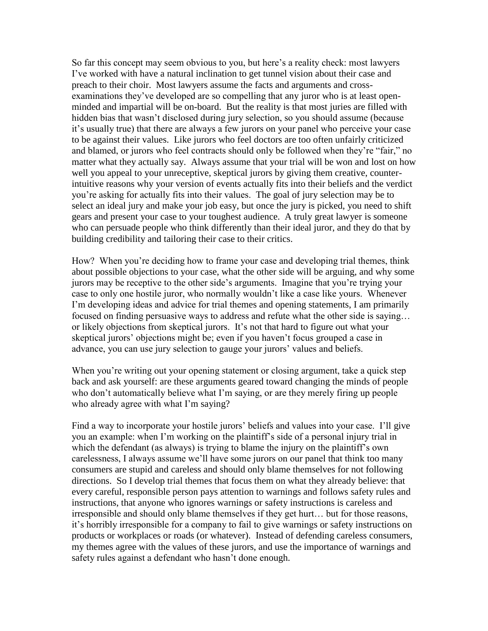So far this concept may seem obvious to you, but here's a reality check: most lawyers I've worked with have a natural inclination to get tunnel vision about their case and preach to their choir. Most lawyers assume the facts and arguments and crossexaminations they've developed are so compelling that any juror who is at least openminded and impartial will be on-board. But the reality is that most juries are filled with hidden bias that wasn't disclosed during jury selection, so you should assume (because it's usually true) that there are always a few jurors on your panel who perceive your case to be against their values. Like jurors who feel doctors are too often unfairly criticized and blamed, or jurors who feel contracts should only be followed when they're "fair," no matter what they actually say. Always assume that your trial will be won and lost on how well you appeal to your unreceptive, skeptical jurors by giving them creative, counterintuitive reasons why your version of events actually fits into their beliefs and the verdict you're asking for actually fits into their values. The goal of jury selection may be to select an ideal jury and make your job easy, but once the jury is picked, you need to shift gears and present your case to your toughest audience. A truly great lawyer is someone who can persuade people who think differently than their ideal juror, and they do that by building credibility and tailoring their case to their critics.

How? When you're deciding how to frame your case and developing trial themes, think about possible objections to your case, what the other side will be arguing, and why some jurors may be receptive to the other side's arguments. Imagine that you're trying your case to only one hostile juror, who normally wouldn't like a case like yours. Whenever I'm developing ideas and advice for trial themes and opening statements, I am primarily focused on finding persuasive ways to address and refute what the other side is saying… or likely objections from skeptical jurors. It's not that hard to figure out what your skeptical jurors' objections might be; even if you haven't focus grouped a case in advance, you can use jury selection to gauge your jurors' values and beliefs.

When you're writing out your opening statement or closing argument, take a quick step back and ask yourself: are these arguments geared toward changing the minds of people who don't automatically believe what I'm saying, or are they merely firing up people who already agree with what I'm saying?

Find a way to incorporate your hostile jurors' beliefs and values into your case. I'll give you an example: when I'm working on the plaintiff's side of a personal injury trial in which the defendant (as always) is trying to blame the injury on the plaintiff's own carelessness, I always assume we'll have some jurors on our panel that think too many consumers are stupid and careless and should only blame themselves for not following directions. So I develop trial themes that focus them on what they already believe: that every careful, responsible person pays attention to warnings and follows safety rules and instructions, that anyone who ignores warnings or safety instructions is careless and irresponsible and should only blame themselves if they get hurt… but for those reasons, it's horribly irresponsible for a company to fail to give warnings or safety instructions on products or workplaces or roads (or whatever). Instead of defending careless consumers, my themes agree with the values of these jurors, and use the importance of warnings and safety rules against a defendant who hasn't done enough.